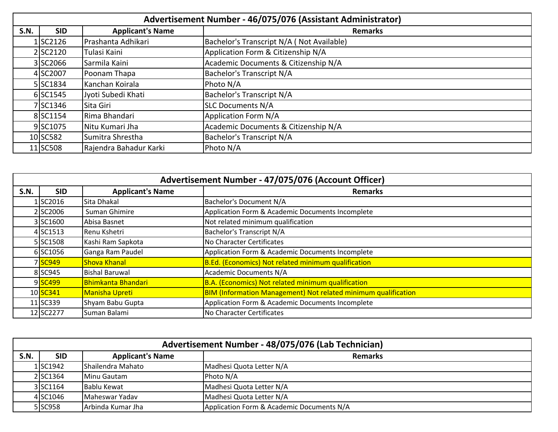|      | Advertisement Number - 46/075/076 (Assistant Administrator) |                         |                                           |  |
|------|-------------------------------------------------------------|-------------------------|-------------------------------------------|--|
| S.N. | <b>SID</b>                                                  | <b>Applicant's Name</b> | <b>Remarks</b>                            |  |
|      | 1SC2126                                                     | Prashanta Adhikari      | Bachelor's Transcript N/A (Not Available) |  |
|      | 2 SC2120                                                    | Tulasi Kaini            | Application Form & Citizenship N/A        |  |
|      | 3 SC2066                                                    | Sarmila Kaini           | Academic Documents & Citizenship N/A      |  |
|      | 4 SC2007                                                    | Poonam Thapa            | <b>Bachelor's Transcript N/A</b>          |  |
|      | 5 SC1834                                                    | Kanchan Koirala         | Photo N/A                                 |  |
|      | 6 SC1545                                                    | Jyoti Subedi Khati      | <b>Bachelor's Transcript N/A</b>          |  |
|      | 7SC1346                                                     | Sita Giri               | <b>SLC Documents N/A</b>                  |  |
|      | 8 SC1154                                                    | Rima Bhandari           | Application Form N/A                      |  |
|      | 9SC1075                                                     | Nitu Kumari Jha         | Academic Documents & Citizenship N/A      |  |
|      | 10 SC582                                                    | Sumitra Shrestha        | <b>Bachelor's Transcript N/A</b>          |  |
|      | 11 SC508                                                    | Rajendra Bahadur Karki  | Photo N/A                                 |  |

|             | Advertisement Number - 47/075/076 (Account Officer) |                         |                                                                       |  |
|-------------|-----------------------------------------------------|-------------------------|-----------------------------------------------------------------------|--|
| <b>S.N.</b> | <b>SID</b>                                          | <b>Applicant's Name</b> | <b>Remarks</b>                                                        |  |
|             | 1SC2016                                             | Sita Dhakal             | Bachelor's Document N/A                                               |  |
|             | 2 SC2006                                            | Suman Ghimire           | Application Form & Academic Documents Incomplete                      |  |
|             | 3 SC <sub>1600</sub>                                | Abisa Basnet            | Not related minimum qualification                                     |  |
|             | 4 SC1513                                            | Renu Kshetri            | Bachelor's Transcript N/A                                             |  |
|             | 5 SC1508                                            | Kashi Ram Sapkota       | No Character Certificates                                             |  |
|             | 6 SC1056                                            | Ganga Ram Paudel        | Application Form & Academic Documents Incomplete                      |  |
|             | 7 SC949                                             | <b>Shova Khanal</b>     | B.Ed. (Economics) Not related minimum qualification                   |  |
|             | 8 SC945                                             | <b>Bishal Baruwal</b>   | Academic Documents N/A                                                |  |
|             | 9 <sup>SC499</sup>                                  | Bhimkanta Bhandari      | B.A. (Economics) Not related minimum qualification                    |  |
|             | 10 SC341                                            | <b>Manisha Upreti</b>   | <b>BIM (Information Management) Not related minimum qualification</b> |  |
|             | 11 SC339                                            | Shyam Babu Gupta        | Application Form & Academic Documents Incomplete                      |  |
|             | 12 SC2277                                           | Suman Balami            | No Character Certificates                                             |  |

|      | Advertisement Number - 48/075/076 (Lab Technician) |                          |                                           |  |
|------|----------------------------------------------------|--------------------------|-------------------------------------------|--|
| S.N. | <b>SID</b>                                         | <b>Applicant's Name</b>  | <b>Remarks</b>                            |  |
|      | 1SC1942                                            | <b>Shailendra Mahato</b> | Madhesi Quota Letter N/A                  |  |
|      | 2 SC1364                                           | <b>Minu Gautam</b>       | Photo N/A                                 |  |
|      | 3 SC1164                                           | Bablu Kewat              | Madhesi Quota Letter N/A                  |  |
|      | 4 SC1046                                           | Maheswar Yadav           | Madhesi Quota Letter N/A                  |  |
|      | 5 SC958                                            | LArbinda Kumar Jha       | Application Form & Academic Documents N/A |  |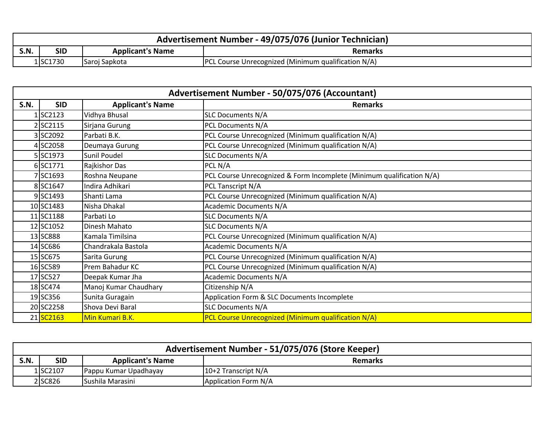|      | Advertisement Number - 49/075/076 (Junior Technician) |                         |                                                            |  |
|------|-------------------------------------------------------|-------------------------|------------------------------------------------------------|--|
| S.N. | SID                                                   | <b>Applicant's Name</b> | <b>Remarks</b>                                             |  |
|      | 1 SC1730                                              | Saroj Sapkota           | <b>PCL Course Unrecognized (Minimum qualification N/A)</b> |  |

|             | Advertisement Number - 50/075/076 (Accountant) |                         |                                                                       |  |
|-------------|------------------------------------------------|-------------------------|-----------------------------------------------------------------------|--|
| <b>S.N.</b> | <b>SID</b>                                     | <b>Applicant's Name</b> | <b>Remarks</b>                                                        |  |
|             | LSC2123                                        | Vidhya Bhusal           | <b>SLC Documents N/A</b>                                              |  |
|             | 2SC2115                                        | Sirjana Gurung          | PCL Documents N/A                                                     |  |
|             | 3 SC2092                                       | Parbati B.K.            | PCL Course Unrecognized (Minimum qualification N/A)                   |  |
|             | 4 SC2058                                       | Deumaya Gurung          | PCL Course Unrecognized (Minimum qualification N/A)                   |  |
|             | 5 SC1973                                       | Sunil Poudel            | <b>SLC Documents N/A</b>                                              |  |
|             | 6 SC1771                                       | Rajkishor Das           | PCL N/A                                                               |  |
|             | 7 SC1693                                       | Roshna Neupane          | PCL Course Unrecognized & Form Incomplete (Minimum qualification N/A) |  |
|             | 8 SC1647                                       | Indira Adhikari         | PCL Tanscript N/A                                                     |  |
|             | 9 SC1493                                       | Shanti Lama             | PCL Course Unrecognized (Minimum qualification N/A)                   |  |
|             | 10 SC1483                                      | Nisha Dhakal            | <b>Academic Documents N/A</b>                                         |  |
|             | 11 SC1188                                      | Parbati Lo              | <b>SLC Documents N/A</b>                                              |  |
|             | 12 SC1052                                      | Dinesh Mahato           | <b>SLC Documents N/A</b>                                              |  |
|             | 13 SC888                                       | Kamala Timilsina        | PCL Course Unrecognized (Minimum qualification N/A)                   |  |
|             | 14 SC686                                       | Chandrakala Bastola     | <b>Academic Documents N/A</b>                                         |  |
|             | 15 SC675                                       | Sarita Gurung           | PCL Course Unrecognized (Minimum qualification N/A)                   |  |
|             | 16 SC589                                       | Prem Bahadur KC         | PCL Course Unrecognized (Minimum qualification N/A)                   |  |
|             | 17 SC527                                       | Deepak Kumar Jha        | <b>Academic Documents N/A</b>                                         |  |
|             | 18 SC474                                       | Manoj Kumar Chaudhary   | Citizenship N/A                                                       |  |
|             | 19 SC356                                       | Sunita Guragain         | Application Form & SLC Documents Incomplete                           |  |
|             | 20 SC2258                                      | Shova Devi Baral        | <b>SLC Documents N/A</b>                                              |  |
|             | 21 SC2163                                      | Min Kumari B.K.         | PCL Course Unrecognized (Minimum qualification N/A)                   |  |

|      | Advertisement Number - 51/075/076 (Store Keeper) |                         |                       |  |
|------|--------------------------------------------------|-------------------------|-----------------------|--|
| S.N. | <b>SID</b>                                       | <b>Applicant's Name</b> | <b>Remarks</b>        |  |
|      | 1 SC2107                                         | Pappu Kumar Upadhayay   | $10+2$ Transcript N/A |  |
|      | 2 SC826                                          | <b>Sushila Marasini</b> | Application Form N/A  |  |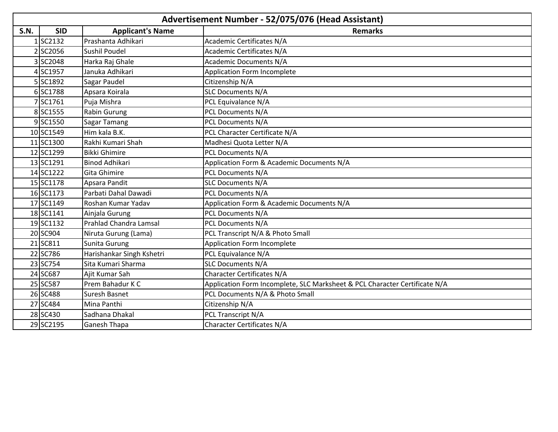|             | Advertisement Number - 52/075/076 (Head Assistant) |                               |                                                                            |  |
|-------------|----------------------------------------------------|-------------------------------|----------------------------------------------------------------------------|--|
| <b>S.N.</b> | <b>SID</b>                                         | <b>Applicant's Name</b>       | <b>Remarks</b>                                                             |  |
|             | 1SC2132                                            | Prashanta Adhikari            | <b>Academic Certificates N/A</b>                                           |  |
|             | 2 SC2056                                           | <b>Sushil Poudel</b>          | <b>Academic Certificates N/A</b>                                           |  |
|             | 3 SC2048                                           | Harka Raj Ghale               | <b>Academic Documents N/A</b>                                              |  |
|             | 4 SC1957                                           | Januka Adhikari               | Application Form Incomplete                                                |  |
|             | 5 SC1892                                           | Sagar Paudel                  | Citizenship N/A                                                            |  |
|             | 6 SC1788                                           | Apsara Koirala                | <b>SLC Documents N/A</b>                                                   |  |
|             | 7SC1761                                            | Puja Mishra                   | PCL Equivalance N/A                                                        |  |
|             | 8 SC1555                                           | Rabin Gurung                  | PCL Documents N/A                                                          |  |
|             | 9 SC1550                                           | Sagar Tamang                  | PCL Documents N/A                                                          |  |
|             | 10 SC1549                                          | Him kala B.K.                 | PCL Character Certificate N/A                                              |  |
|             | 11 SC1300                                          | Rakhi Kumari Shah             | Madhesi Quota Letter N/A                                                   |  |
|             | 12 SC1299                                          | <b>Bikki Ghimire</b>          | PCL Documents N/A                                                          |  |
|             | 13 SC1291                                          | <b>Binod Adhikari</b>         | Application Form & Academic Documents N/A                                  |  |
|             | 14 SC1222                                          | Gita Ghimire                  | PCL Documents N/A                                                          |  |
|             | 15 SC1178                                          | Apsara Pandit                 | <b>SLC Documents N/A</b>                                                   |  |
|             | 16 SC1173                                          | Parbati Dahal Dawadi          | PCL Documents N/A                                                          |  |
|             | 17 SC1149                                          | Roshan Kumar Yadav            | Application Form & Academic Documents N/A                                  |  |
|             | 18 SC1141                                          | Ainjala Gurung                | PCL Documents N/A                                                          |  |
|             | 19 SC1132                                          | <b>Prahlad Chandra Lamsal</b> | PCL Documents N/A                                                          |  |
|             | 20 SC904                                           | Niruta Gurung (Lama)          | PCL Transcript N/A & Photo Small                                           |  |
|             | 21 SC811                                           | Sunita Gurung                 | Application Form Incomplete                                                |  |
|             | 22 SC786                                           | Harishankar Singh Kshetri     | PCL Equivalance N/A                                                        |  |
|             | 23 SC754                                           | Sita Kumari Sharma            | <b>SLC Documents N/A</b>                                                   |  |
|             | 24 SC687                                           | Ajit Kumar Sah                | <b>Character Certificates N/A</b>                                          |  |
|             | 25 SC587                                           | Prem Bahadur K C              | Application Form Incomplete, SLC Marksheet & PCL Character Certificate N/A |  |
|             | 26 SC488                                           | Suresh Basnet                 | PCL Documents N/A & Photo Small                                            |  |
|             | 27 SC484                                           | Mina Panthi                   | Citizenship N/A                                                            |  |
|             | 28 SC430                                           | Sadhana Dhakal                | PCL Transcript N/A                                                         |  |
|             | 29 SC2195                                          | <b>Ganesh Thapa</b>           | <b>Character Certificates N/A</b>                                          |  |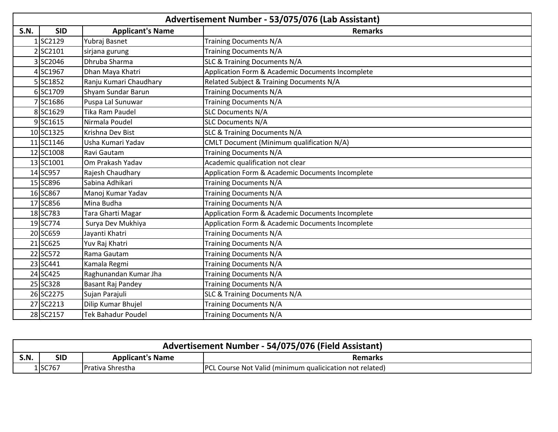|             | Advertisement Number - 53/075/076 (Lab Assistant) |                           |                                                  |  |
|-------------|---------------------------------------------------|---------------------------|--------------------------------------------------|--|
| <b>S.N.</b> | <b>SID</b>                                        | <b>Applicant's Name</b>   | <b>Remarks</b>                                   |  |
|             | 1SC2129                                           | Yubraj Basnet             | <b>Training Documents N/A</b>                    |  |
|             | 2SC2101                                           | sirjana gurung            | <b>Training Documents N/A</b>                    |  |
|             | 3 SC2046                                          | Dhruba Sharma             | SLC & Training Documents N/A                     |  |
|             | 4SC1967                                           | Dhan Maya Khatri          | Application Form & Academic Documents Incomplete |  |
|             | 5 SC1852                                          | Ranju Kumari Chaudhary    | Related Subject & Training Documents N/A         |  |
|             | 6SC1709                                           | Shyam Sundar Barun        | <b>Training Documents N/A</b>                    |  |
|             | 7SC1686                                           | Puspa Lal Sunuwar         | Training Documents N/A                           |  |
|             | 8 SC1629                                          | Tika Ram Paudel           | <b>SLC Documents N/A</b>                         |  |
|             | 9SC1615                                           | Nirmala Poudel            | <b>SLC Documents N/A</b>                         |  |
|             | 10 SC1325                                         | Krishna Dev Bist          | SLC & Training Documents N/A                     |  |
|             | 11 SC1146                                         | Usha Kumari Yadav         | CMLT Document (Minimum qualification N/A)        |  |
|             | 12 SC1008                                         | Ravi Gautam               | Training Documents N/A                           |  |
|             | 13 SC1001                                         | Om Prakash Yadav          | Academic qualification not clear                 |  |
|             | 14 SC957                                          | Rajesh Chaudhary          | Application Form & Academic Documents Incomplete |  |
|             | 15 SC896                                          | Sabina Adhikari           | <b>Training Documents N/A</b>                    |  |
|             | 16 SC867                                          | Manoj Kumar Yadav         | <b>Training Documents N/A</b>                    |  |
|             | 17 SC856                                          | Mina Budha                | <b>Training Documents N/A</b>                    |  |
|             | 18 SC783                                          | Tara Gharti Magar         | Application Form & Academic Documents Incomplete |  |
|             | 19 SC774                                          | Surya Dev Mukhiya         | Application Form & Academic Documents Incomplete |  |
|             | 20 SC659                                          | Jayanti Khatri            | <b>Training Documents N/A</b>                    |  |
|             | 21 SC625                                          | Yuv Raj Khatri            | Training Documents N/A                           |  |
|             | 22 SC572                                          | Rama Gautam               | <b>Training Documents N/A</b>                    |  |
|             | 23 SC441                                          | Kamala Regmi              | <b>Training Documents N/A</b>                    |  |
|             | 24 SC425                                          | Raghunandan Kumar Jha     | Training Documents N/A                           |  |
|             | 25 SC328                                          | Basant Raj Pandey         | Training Documents N/A                           |  |
|             | 26 SC2275                                         | Sujan Parajuli            | SLC & Training Documents N/A                     |  |
|             | 27 SC2213                                         | Dilip Kumar Bhujel        | <b>Training Documents N/A</b>                    |  |
|             | 28 SC2157                                         | <b>Tek Bahadur Poudel</b> | <b>Training Documents N/A</b>                    |  |

|      | Advertisement Number - 54/075/076 (Field Assistant) |                          |                                                                 |  |
|------|-----------------------------------------------------|--------------------------|-----------------------------------------------------------------|--|
| S.N. | SID                                                 | <b>Applicant's Name</b>  | <b>Remarks</b>                                                  |  |
|      | 1SC767                                              | <b>IPrativa Shrestha</b> | <b>PCL Course Not Valid (minimum qualicication not related)</b> |  |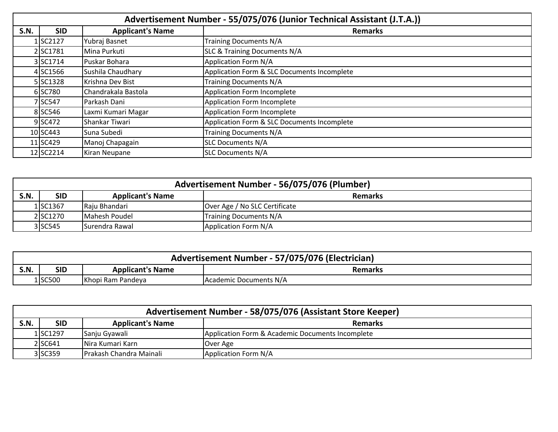|             | Advertisement Number - 55/075/076 (Junior Technical Assistant (J.T.A.)) |                         |                                             |
|-------------|-------------------------------------------------------------------------|-------------------------|---------------------------------------------|
| <b>S.N.</b> | <b>SID</b>                                                              | <b>Applicant's Name</b> | <b>Remarks</b>                              |
|             | 1 SC2127                                                                | Yubraj Basnet           | <b>Training Documents N/A</b>               |
|             | 2 SC1781                                                                | Mina Purkuti            | <b>SLC &amp; Training Documents N/A</b>     |
|             | 3 SC1714                                                                | Puskar Bohara           | Application Form N/A                        |
|             | 4 SC1566                                                                | Sushila Chaudhary       | Application Form & SLC Documents Incomplete |
|             | 5 SC1328                                                                | Krishna Dev Bist        | <b>Training Documents N/A</b>               |
|             | 6 SC780                                                                 | Chandrakala Bastola     | Application Form Incomplete                 |
|             | 7 SC547                                                                 | Parkash Dani            | Application Form Incomplete                 |
|             | 8 SC546                                                                 | Laxmi Kumari Magar      | Application Form Incomplete                 |
|             | 9SC472                                                                  | Shankar Tiwari          | Application Form & SLC Documents Incomplete |
|             | 10 SC443                                                                | Suna Subedi             | <b>Training Documents N/A</b>               |
|             | 11 SC429                                                                | Manoj Chapagain         | <b>SLC Documents N/A</b>                    |
|             | 12 SC2214                                                               | Kiran Neupane           | <b>SLC Documents N/A</b>                    |

| Advertisement Number - 56/075/076 (Plumber) |            |                         |                               |
|---------------------------------------------|------------|-------------------------|-------------------------------|
| S.N.                                        | <b>SID</b> | <b>Applicant's Name</b> | <b>Remarks</b>                |
|                                             | 1SC1367    | Raju Bhandari           | Over Age / No SLC Certificate |
|                                             | 2 SC1270   | Mahesh Poudel           | <b>Training Documents N/A</b> |
|                                             | 3 SC545    | Surendra Rawal          | Application Form N/A          |

| Advertisement Number - 57/075/076 (Electrician) |         |                         |                        |
|-------------------------------------------------|---------|-------------------------|------------------------|
| <b>S.N.</b>                                     | SID     | <b>Applicant's Name</b> | <b>Remarks</b>         |
|                                                 | 1 SC500 | Khopi Ram Pandeya       | Academic Documents N/A |

| Advertisement Number - 58/075/076 (Assistant Store Keeper) |            |                                 |                                                  |  |
|------------------------------------------------------------|------------|---------------------------------|--------------------------------------------------|--|
| S.N.                                                       | <b>SID</b> | <b>Applicant's Name</b>         | <b>Remarks</b>                                   |  |
|                                                            | 1SC1297    | Sanju Gyawali                   | Application Form & Academic Documents Incomplete |  |
|                                                            | 2 SC641    | Nira Kumari Karn                | Over Age                                         |  |
|                                                            | 3 SC359    | <b>IPrakash Chandra Mainali</b> | Application Form N/A                             |  |